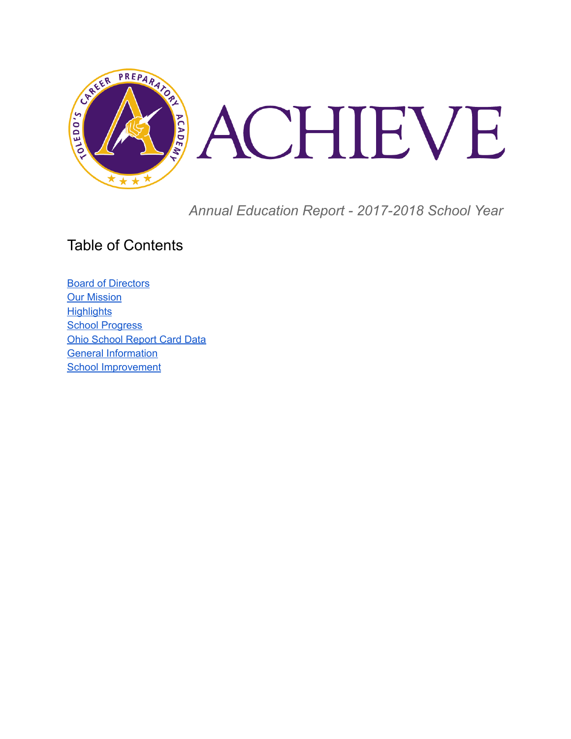

*Annual Education Report - 2017-2018 School Year*

### Table of Contents

**Board of [Directors](#page-1-0) Our [Mission](#page-1-1) [Highlights](#page-1-2) School [Progress](#page-2-0)** Ohio [School](#page-2-1) Report Card Data General Information School Improvement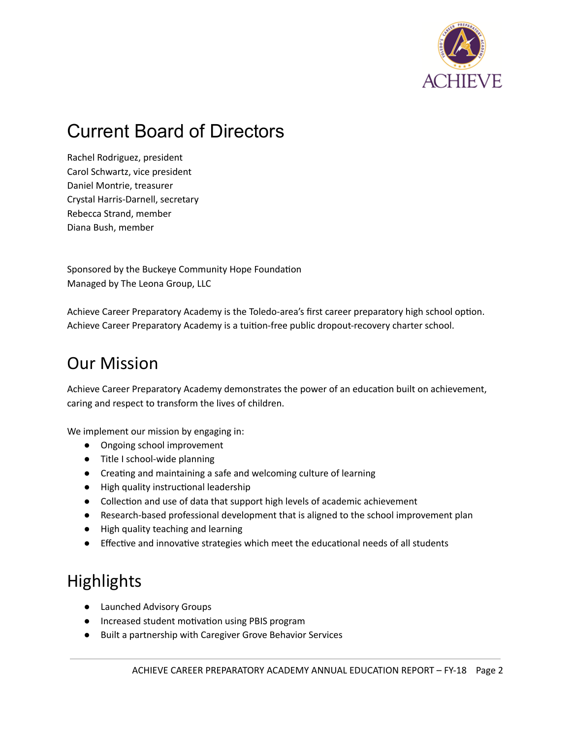

## <span id="page-1-0"></span>Current Board of Directors

Rachel Rodriguez, president Carol Schwartz, vice president Daniel Montrie, treasurer Crystal Harris-Darnell, secretary Rebecca Strand, member Diana Bush, member

Sponsored by the Buckeye Community Hope Foundation Managed by The Leona Group, LLC

Achieve Career Preparatory Academy is the Toledo-area's first career preparatory high school option. Achieve Career Preparatory Academy is a tuion-free public dropout-recovery charter school.

## <span id="page-1-1"></span>Our Mission

Achieve Career Preparatory Academy demonstrates the power of an education built on achievement, caring and respect to transform the lives of children.

We implement our mission by engaging in:

- Ongoing school improvement
- Title I school-wide planning
- Creating and maintaining a safe and welcoming culture of learning
- High quality instructional leadership
- Collection and use of data that support high levels of academic achievement
- Research-based professional development that is aligned to the school improvement plan
- High quality teaching and learning
- <span id="page-1-2"></span>• Effective and innovative strategies which meet the educational needs of all students

## **Highlights**

- Launched Advisory Groups
- Increased student motivation using PBIS program
- Built a partnership with Caregiver Grove Behavior Services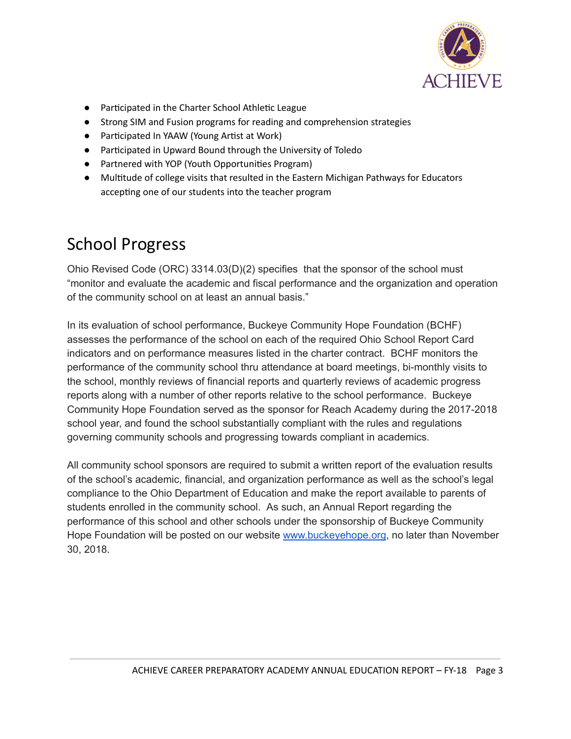

- Participated in the Charter School Athletic League
- Strong SIM and Fusion programs for reading and comprehension strategies
- Participated In YAAW (Young Artist at Work)
- Parcipated in Upward Bound through the University of Toledo
- Partnered with YOP (Youth Opportunities Program)
- Multitude of college visits that resulted in the Eastern Michigan Pathways for Educators accepting one of our students into the teacher program

## <span id="page-2-0"></span>School Progress

Ohio Revised Code (ORC) 3314.03(D)(2) specifies that the sponsor of the school must "monitor and evaluate the academic and fiscal performance and the organization and operation of the community school on at least an annual basis."

In its evaluation of school performance, Buckeye Community Hope Foundation (BCHF) assesses the performance of the school on each of the required Ohio School Report Card indicators and on performance measures listed in the charter contract. BCHF monitors the performance of the community school thru attendance at board meetings, bi-monthly visits to the school, monthly reviews of financial reports and quarterly reviews of academic progress reports along with a number of other reports relative to the school performance. Buckeye Community Hope Foundation served as the sponsor for Reach Academy during the 2017-2018 school year, and found the school substantially compliant with the rules and regulations governing community schools and progressing towards compliant in academics.

<span id="page-2-1"></span>All community school sponsors are required to submit a written report of the evaluation results of the school's academic, financial, and organization performance as well as the school's legal compliance to the Ohio Department of Education and make the report available to parents of students enrolled in the community school. As such, an Annual Report regarding the performance of this school and other schools under the sponsorship of Buckeye Community Hope Foundation will be posted on our website [www.buckeyehope.org](http://www.buckeyehope.org/), no later than November 30, 2018.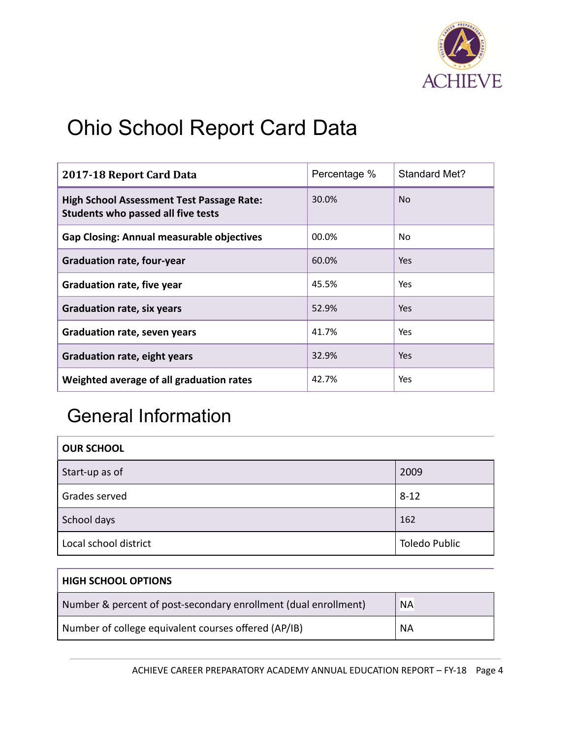

# Ohio School Report Card Data

| 2017-18 Report Card Data                                                               | Percentage % | Standard Met? |
|----------------------------------------------------------------------------------------|--------------|---------------|
| <b>High School Assessment Test Passage Rate:</b><br>Students who passed all five tests | 30.0%        | No.           |
| <b>Gap Closing: Annual measurable objectives</b>                                       | 00.0%        | No            |
| <b>Graduation rate, four-year</b>                                                      | 60.0%        | <b>Yes</b>    |
| <b>Graduation rate, five year</b>                                                      | 45.5%        | Yes           |
| <b>Graduation rate, six years</b>                                                      | 52.9%        | Yes.          |
| <b>Graduation rate, seven years</b>                                                    | 41.7%        | <b>Yes</b>    |
| <b>Graduation rate, eight years</b>                                                    | 32.9%        | Yes           |
| Weighted average of all graduation rates                                               | 42.7%        | Yes           |

## General Information

| <b>OUR SCHOOL</b>     |                      |
|-----------------------|----------------------|
| Start-up as of        | 2009                 |
| Grades served         | $8 - 12$             |
| School days           | 162                  |
| Local school district | <b>Toledo Public</b> |

| <b>HIGH SCHOOL OPTIONS</b>                                      |           |
|-----------------------------------------------------------------|-----------|
| Number & percent of post-secondary enrollment (dual enrollment) | <b>NA</b> |
| Number of college equivalent courses offered (AP/IB)            | <b>NA</b> |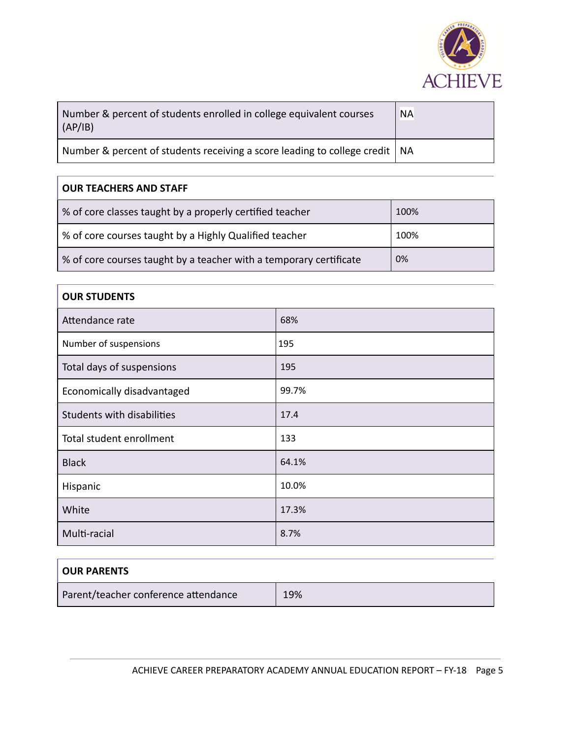

| Number & percent of students enrolled in college equivalent courses<br>(AP/IB) | <b>NA</b> |
|--------------------------------------------------------------------------------|-----------|
| Number & percent of students receiving a score leading to college credit   NA  |           |

#### **OUR TEACHERS AND STAFF**

| % of core classes taught by a properly certified teacher           | 100% |
|--------------------------------------------------------------------|------|
| % of core courses taught by a Highly Qualified teacher             | 100% |
| % of core courses taught by a teacher with a temporary certificate | 0%   |

#### **OUR STUDENTS**

| Attendance rate            | 68%   |
|----------------------------|-------|
| Number of suspensions      | 195   |
| Total days of suspensions  | 195   |
| Economically disadvantaged | 99.7% |
| Students with disabilities | 17.4  |
| Total student enrollment   | 133   |
| <b>Black</b>               | 64.1% |
| Hispanic                   | 10.0% |
| White                      | 17.3% |
| Multi-racial               | 8.7%  |

| <b>OUR PARENTS</b>                   |     |
|--------------------------------------|-----|
| Parent/teacher conference attendance | 19% |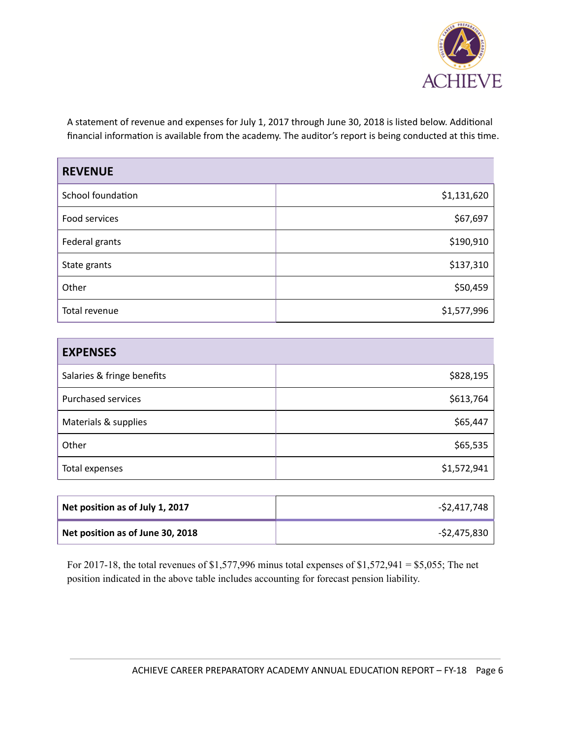

A statement of revenue and expenses for July 1, 2017 through June 30, 2018 is listed below. Additional financial information is available from the academy. The auditor's report is being conducted at this time.

| <b>REVENUE</b>    |             |
|-------------------|-------------|
| School foundation | \$1,131,620 |
| Food services     | \$67,697    |
| Federal grants    | \$190,910   |
| State grants      | \$137,310   |
| Other             | \$50,459    |
| Total revenue     | \$1,577,996 |

| <b>EXPENSES</b>            |             |
|----------------------------|-------------|
| Salaries & fringe benefits | \$828,195   |
| <b>Purchased services</b>  | \$613,764   |
| Materials & supplies       | \$65,447    |
| Other                      | \$65,535    |
| Total expenses             | \$1,572,941 |

| Net position as of July 1, 2017  | -\$2,417,748 |
|----------------------------------|--------------|
| Net position as of June 30, 2018 | -\$2,475,830 |

For 2017-18, the total revenues of \$1,577,996 minus total expenses of \$1,572,941 = \$5,055; The net position indicated in the above table includes accounting for forecast pension liability.